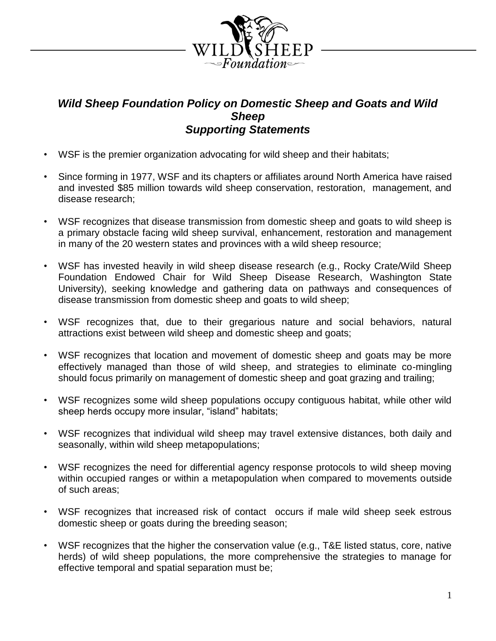

## *Wild Sheep Foundation Policy on Domestic Sheep and Goats and Wild Sheep Supporting Statements*

- WSF is the premier organization advocating for wild sheep and their habitats;
- Since forming in 1977, WSF and its chapters or affiliates around North America have raised and invested \$85 million towards wild sheep conservation, restoration, management, and disease research;
- WSF recognizes that disease transmission from domestic sheep and goats to wild sheep is a primary obstacle facing wild sheep survival, enhancement, restoration and management in many of the 20 western states and provinces with a wild sheep resource;
- WSF has invested heavily in wild sheep disease research (e.g., Rocky Crate/Wild Sheep Foundation Endowed Chair for Wild Sheep Disease Research, Washington State University), seeking knowledge and gathering data on pathways and consequences of disease transmission from domestic sheep and goats to wild sheep;
- WSF recognizes that, due to their gregarious nature and social behaviors, natural attractions exist between wild sheep and domestic sheep and goats;
- WSF recognizes that location and movement of domestic sheep and goats may be more effectively managed than those of wild sheep, and strategies to eliminate co-mingling should focus primarily on management of domestic sheep and goat grazing and trailing;
- WSF recognizes some wild sheep populations occupy contiguous habitat, while other wild sheep herds occupy more insular, "island" habitats;
- WSF recognizes that individual wild sheep may travel extensive distances, both daily and seasonally, within wild sheep metapopulations;
- WSF recognizes the need for differential agency response protocols to wild sheep moving within occupied ranges or within a metapopulation when compared to movements outside of such areas;
- WSF recognizes that increased risk of contact occurs if male wild sheep seek estrous domestic sheep or goats during the breeding season;
- WSF recognizes that the higher the conservation value (e.g., T&E listed status, core, native herds) of wild sheep populations, the more comprehensive the strategies to manage for effective temporal and spatial separation must be;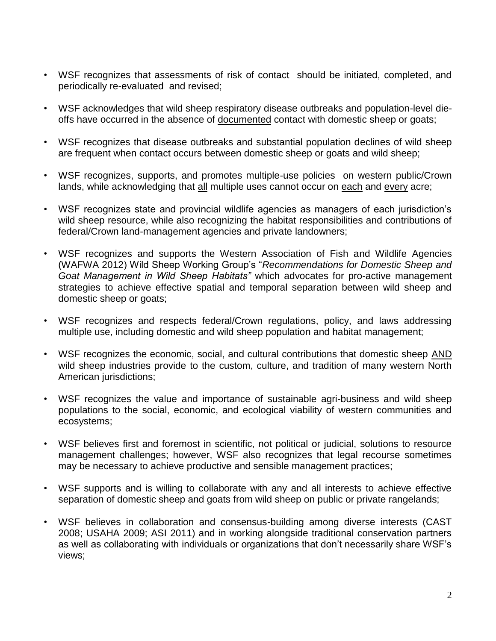- WSF recognizes that assessments of risk of contact should be initiated, completed, and periodically re-evaluated and revised;
- WSF acknowledges that wild sheep respiratory disease outbreaks and population-level dieoffs have occurred in the absence of documented contact with domestic sheep or goats;
- WSF recognizes that disease outbreaks and substantial population declines of wild sheep are frequent when contact occurs between domestic sheep or goats and wild sheep;
- WSF recognizes, supports, and promotes multiple-use policies on western public/Crown lands, while acknowledging that all multiple uses cannot occur on each and every acre;
- WSF recognizes state and provincial wildlife agencies as managers of each jurisdiction's wild sheep resource, while also recognizing the habitat responsibilities and contributions of federal/Crown land-management agencies and private landowners;
- WSF recognizes and supports the Western Association of Fish and Wildlife Agencies (WAFWA 2012) Wild Sheep Working Group's "*Recommendations for Domestic Sheep and Goat Management in Wild Sheep Habitats"* which advocates for pro-active management strategies to achieve effective spatial and temporal separation between wild sheep and domestic sheep or goats;
- WSF recognizes and respects federal/Crown regulations, policy, and laws addressing multiple use, including domestic and wild sheep population and habitat management;
- WSF recognizes the economic, social, and cultural contributions that domestic sheep AND wild sheep industries provide to the custom, culture, and tradition of many western North American jurisdictions;
- WSF recognizes the value and importance of sustainable agri-business and wild sheep populations to the social, economic, and ecological viability of western communities and ecosystems;
- WSF believes first and foremost in scientific, not political or judicial, solutions to resource management challenges; however, WSF also recognizes that legal recourse sometimes may be necessary to achieve productive and sensible management practices;
- WSF supports and is willing to collaborate with any and all interests to achieve effective separation of domestic sheep and goats from wild sheep on public or private rangelands;
- WSF believes in collaboration and consensus-building among diverse interests (CAST 2008; USAHA 2009; ASI 2011) and in working alongside traditional conservation partners as well as collaborating with individuals or organizations that don't necessarily share WSF's views;